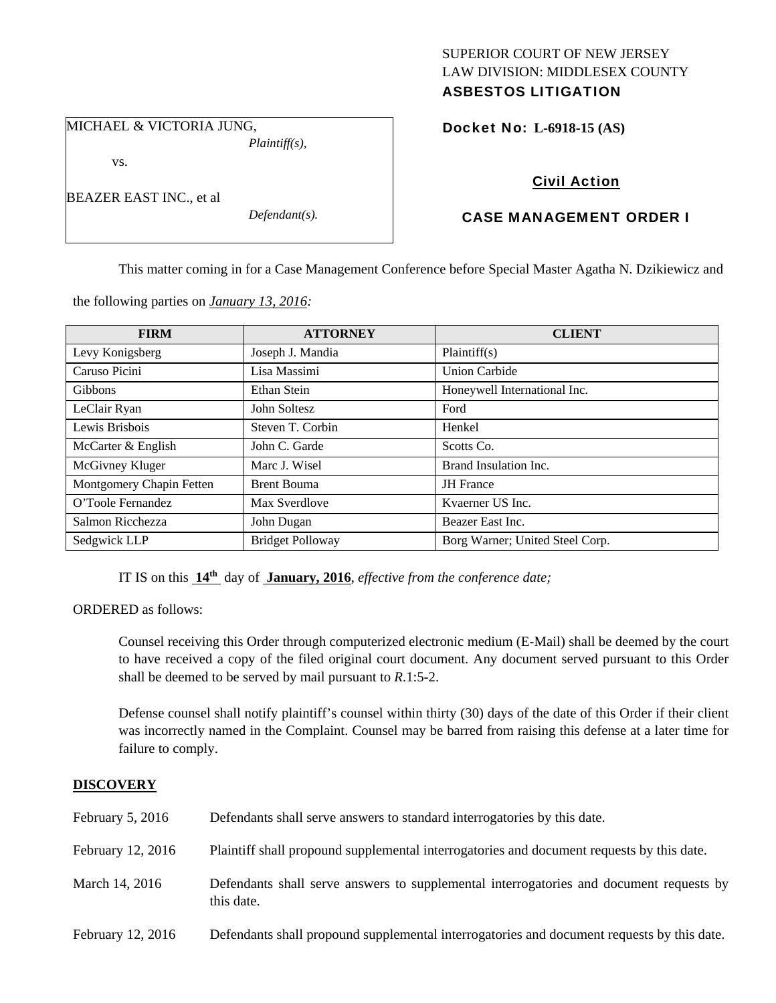# SUPERIOR COURT OF NEW JERSEY LAW DIVISION: MIDDLESEX COUNTY ASBESTOS LITIGATION

MICHAEL & VICTORIA JUNG,

vs.

BEAZER EAST INC., et al

*Defendant(s).* 

*Plaintiff(s),* 

Docket No: **L-6918-15 (AS)** 

# Civil Action

# CASE MANAGEMENT ORDER I

This matter coming in for a Case Management Conference before Special Master Agatha N. Dzikiewicz and

the following parties on *January 13, 2016:* 

| <b>FIRM</b>              | <b>ATTORNEY</b>         | <b>CLIENT</b>                   |
|--------------------------|-------------------------|---------------------------------|
| Levy Konigsberg          | Joseph J. Mandia        | Plaintiff(s)                    |
| Caruso Picini            | Lisa Massimi            | <b>Union Carbide</b>            |
| <b>Gibbons</b>           | Ethan Stein             | Honeywell International Inc.    |
| LeClair Ryan             | John Soltesz            | Ford                            |
| Lewis Brisbois           | Steven T. Corbin        | Henkel                          |
| McCarter & English       | John C. Garde           | Scotts Co.                      |
| McGivney Kluger          | Marc J. Wisel           | Brand Insulation Inc.           |
| Montgomery Chapin Fetten | <b>Brent Bouma</b>      | JH France                       |
| O'Toole Fernandez        | Max Sverdlove           | Kvaerner US Inc.                |
| Salmon Ricchezza         | John Dugan              | Beazer East Inc.                |
| Sedgwick LLP             | <b>Bridget Polloway</b> | Borg Warner; United Steel Corp. |

IT IS on this **14th** day of **January, 2016**, *effective from the conference date;*

ORDERED as follows:

Counsel receiving this Order through computerized electronic medium (E-Mail) shall be deemed by the court to have received a copy of the filed original court document. Any document served pursuant to this Order shall be deemed to be served by mail pursuant to *R*.1:5-2.

Defense counsel shall notify plaintiff's counsel within thirty (30) days of the date of this Order if their client was incorrectly named in the Complaint. Counsel may be barred from raising this defense at a later time for failure to comply.

# **DISCOVERY**

| February $5, 2016$ | Defendants shall serve answers to standard interrogatories by this date.                              |
|--------------------|-------------------------------------------------------------------------------------------------------|
| February 12, 2016  | Plaintiff shall propound supplemental interrogatories and document requests by this date.             |
| March 14, 2016     | Defendants shall serve answers to supplemental interrogatories and document requests by<br>this date. |
| February 12, 2016  | Defendants shall propound supplemental interrogatories and document requests by this date.            |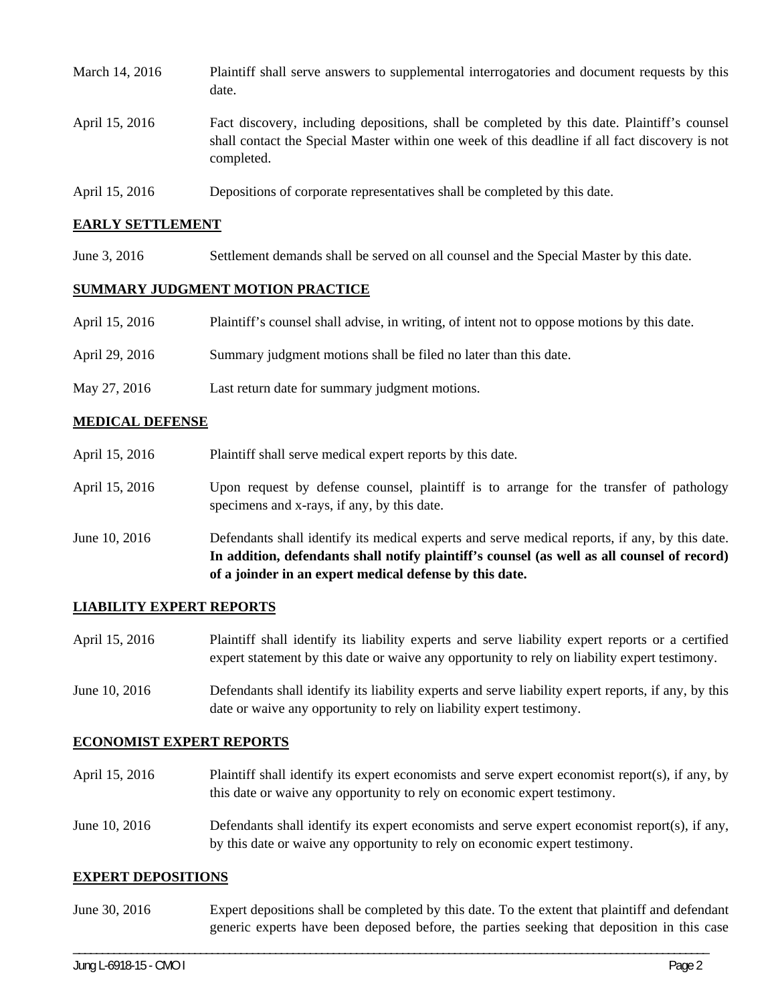| March 14, 2016 | Plaintiff shall serve answers to supplemental interrogatories and document requests by this<br>date.                                                                                                        |
|----------------|-------------------------------------------------------------------------------------------------------------------------------------------------------------------------------------------------------------|
| April 15, 2016 | Fact discovery, including depositions, shall be completed by this date. Plaintiff's counsel<br>shall contact the Special Master within one week of this deadline if all fact discovery is not<br>completed. |
| April 15, 2016 | Depositions of corporate representatives shall be completed by this date.                                                                                                                                   |

#### **EARLY SETTLEMENT**

June 3, 2016 Settlement demands shall be served on all counsel and the Special Master by this date.

#### **SUMMARY JUDGMENT MOTION PRACTICE**

| April 15, 2016 | Plaintiff's counsel shall advise, in writing, of intent not to oppose motions by this date. |
|----------------|---------------------------------------------------------------------------------------------|
| April 29, 2016 | Summary judgment motions shall be filed no later than this date.                            |
| May 27, 2016   | Last return date for summary judgment motions.                                              |

### **MEDICAL DEFENSE**

- April 15, 2016 Plaintiff shall serve medical expert reports by this date.
- April 15, 2016 Upon request by defense counsel, plaintiff is to arrange for the transfer of pathology specimens and x-rays, if any, by this date.
- June 10, 2016 Defendants shall identify its medical experts and serve medical reports, if any, by this date. **In addition, defendants shall notify plaintiff's counsel (as well as all counsel of record) of a joinder in an expert medical defense by this date.**

#### **LIABILITY EXPERT REPORTS**

- April 15, 2016 Plaintiff shall identify its liability experts and serve liability expert reports or a certified expert statement by this date or waive any opportunity to rely on liability expert testimony.
- June 10, 2016 Defendants shall identify its liability experts and serve liability expert reports, if any, by this date or waive any opportunity to rely on liability expert testimony.

#### **ECONOMIST EXPERT REPORTS**

April 15, 2016 Plaintiff shall identify its expert economists and serve expert economist report(s), if any, by this date or waive any opportunity to rely on economic expert testimony. June 10, 2016 Defendants shall identify its expert economists and serve expert economist report(s), if any, by this date or waive any opportunity to rely on economic expert testimony.

#### **EXPERT DEPOSITIONS**

June 30, 2016 Expert depositions shall be completed by this date. To the extent that plaintiff and defendant generic experts have been deposed before, the parties seeking that deposition in this case

\_\_\_\_\_\_\_\_\_\_\_\_\_\_\_\_\_\_\_\_\_\_\_\_\_\_\_\_\_\_\_\_\_\_\_\_\_\_\_\_\_\_\_\_\_\_\_\_\_\_\_\_\_\_\_\_\_\_\_\_\_\_\_\_\_\_\_\_\_\_\_\_\_\_\_\_\_\_\_\_\_\_\_\_\_\_\_\_\_\_\_\_\_\_\_\_\_\_\_\_\_\_\_\_\_\_\_\_\_\_